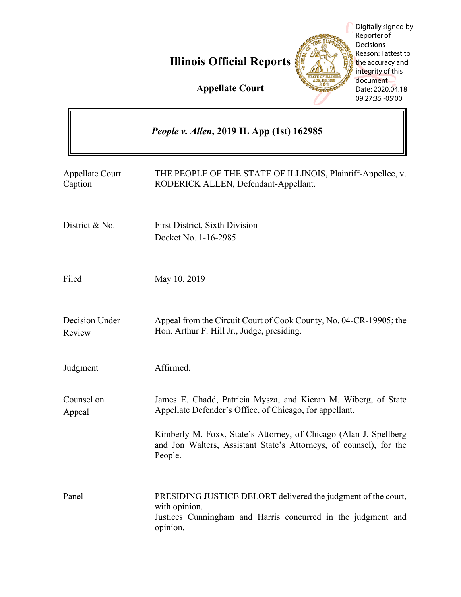# **Illinois Official Reports**



Digitally signed by Reporter of Decisions Reason: I attest to the accuracy and integrity of this document Date: 2020.04.18 09:27:35 -05'00'

**Appellate Court**

|                                   | <i>People v. Allen, 2019 IL App (1st) 162985</i>                                                                                                           |
|-----------------------------------|------------------------------------------------------------------------------------------------------------------------------------------------------------|
| <b>Appellate Court</b><br>Caption | THE PEOPLE OF THE STATE OF ILLINOIS, Plaintiff-Appellee, v.<br>RODERICK ALLEN, Defendant-Appellant.                                                        |
| District & No.                    | <b>First District, Sixth Division</b><br>Docket No. 1-16-2985                                                                                              |
| Filed                             | May 10, 2019                                                                                                                                               |
| Decision Under<br>Review          | Appeal from the Circuit Court of Cook County, No. 04-CR-19905; the<br>Hon. Arthur F. Hill Jr., Judge, presiding.                                           |
| Judgment                          | Affirmed.                                                                                                                                                  |
| Counsel on<br>Appeal              | James E. Chadd, Patricia Mysza, and Kieran M. Wiberg, of State<br>Appellate Defender's Office, of Chicago, for appellant.                                  |
|                                   | Kimberly M. Foxx, State's Attorney, of Chicago (Alan J. Spellberg)<br>and Jon Walters, Assistant State's Attorneys, of counsel), for the<br>People.        |
| Panel                             | PRESIDING JUSTICE DELORT delivered the judgment of the court,<br>with opinion.<br>Justices Cunningham and Harris concurred in the judgment and<br>opinion. |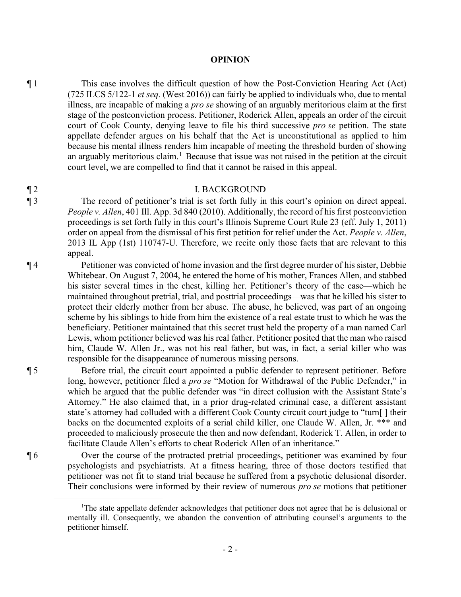### **OPINION**

¶ 1 This case involves the difficult question of how the Post-Conviction Hearing Act (Act) (725 ILCS 5/122-1 *et seq.* (West 2016)) can fairly be applied to individuals who, due to mental illness, are incapable of making a *pro se* showing of an arguably meritorious claim at the first stage of the postconviction process. Petitioner, Roderick Allen, appeals an order of the circuit court of Cook County, denying leave to file his third successive *pro se* petition. The state appellate defender argues on his behalf that the Act is unconstitutional as applied to him because his mental illness renders him incapable of meeting the threshold burden of showing an arguably meritorious claim.<sup>1</sup> Because that issue was not raised in the petition at the circuit court level, we are compelled to find that it cannot be raised in this appeal.

### ¶ 2 I. BACKGROUND

¶ 3 The record of petitioner's trial is set forth fully in this court's opinion on direct appeal. *People v. Allen*, 401 Ill. App. 3d 840 (2010). Additionally, the record of his first postconviction proceedings is set forth fully in this court's Illinois Supreme Court Rule 23 (eff. July 1, 2011) order on appeal from the dismissal of his first petition for relief under the Act. *People v. Allen*, 2013 IL App (1st) 110747-U. Therefore, we recite only those facts that are relevant to this appeal.

¶ 4 Petitioner was convicted of home invasion and the first degree murder of his sister, Debbie Whitebear. On August 7, 2004, he entered the home of his mother, Frances Allen, and stabbed his sister several times in the chest, killing her. Petitioner's theory of the case—which he maintained throughout pretrial, trial, and posttrial proceedings—was that he killed his sister to protect their elderly mother from her abuse. The abuse, he believed, was part of an ongoing scheme by his siblings to hide from him the existence of a real estate trust to which he was the beneficiary. Petitioner maintained that this secret trust held the property of a man named Carl Lewis, whom petitioner believed was his real father. Petitioner posited that the man who raised him, Claude W. Allen Jr., was not his real father, but was, in fact, a serial killer who was responsible for the disappearance of numerous missing persons.

¶ 5 Before trial, the circuit court appointed a public defender to represent petitioner. Before long, however, petitioner filed a *pro se* "Motion for Withdrawal of the Public Defender," in which he argued that the public defender was "in direct collusion with the Assistant State's Attorney." He also claimed that, in a prior drug-related criminal case, a different assistant state's attorney had colluded with a different Cook County circuit court judge to "turn[ ] their backs on the documented exploits of a serial child killer, one Claude W. Allen, Jr. \*\*\* and proceeded to maliciously prosecute the then and now defendant, Roderick T. Allen, in order to facilitate Claude Allen's efforts to cheat Roderick Allen of an inheritance."

¶ 6 Over the course of the protracted pretrial proceedings, petitioner was examined by four psychologists and psychiatrists. At a fitness hearing, three of those doctors testified that petitioner was not fit to stand trial because he suffered from a psychotic delusional disorder. Their conclusions were informed by their review of numerous *pro se* motions that petitioner

<sup>&</sup>lt;sup>1</sup>The state appellate defender acknowledges that petitioner does not agree that he is delusional or mentally ill. Consequently, we abandon the convention of attributing counsel's arguments to the petitioner himself.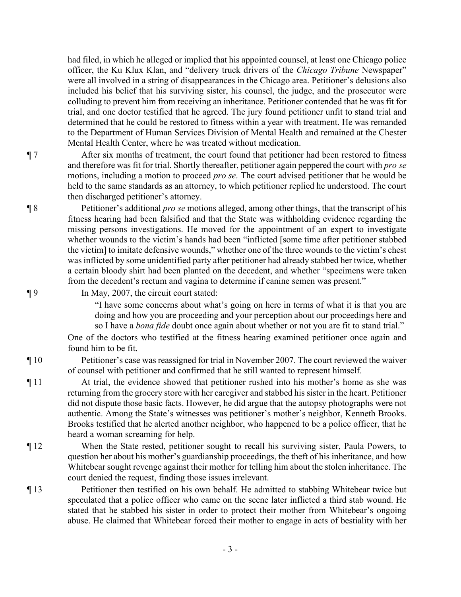had filed, in which he alleged or implied that his appointed counsel, at least one Chicago police officer, the Ku Klux Klan, and "delivery truck drivers of the *Chicago Tribune* Newspaper" were all involved in a string of disappearances in the Chicago area. Petitioner's delusions also included his belief that his surviving sister, his counsel, the judge, and the prosecutor were colluding to prevent him from receiving an inheritance. Petitioner contended that he was fit for trial, and one doctor testified that he agreed. The jury found petitioner unfit to stand trial and determined that he could be restored to fitness within a year with treatment. He was remanded to the Department of Human Services Division of Mental Health and remained at the Chester Mental Health Center, where he was treated without medication.

¶ 7 After six months of treatment, the court found that petitioner had been restored to fitness and therefore was fit for trial. Shortly thereafter, petitioner again peppered the court with *pro se* motions, including a motion to proceed *pro se*. The court advised petitioner that he would be held to the same standards as an attorney, to which petitioner replied he understood. The court then discharged petitioner's attorney.

¶ 8 Petitioner's additional *pro se* motions alleged, among other things, that the transcript of his fitness hearing had been falsified and that the State was withholding evidence regarding the missing persons investigations. He moved for the appointment of an expert to investigate whether wounds to the victim's hands had been "inflicted [some time after petitioner stabbed the victim] to imitate defensive wounds," whether one of the three wounds to the victim's chest was inflicted by some unidentified party after petitioner had already stabbed her twice, whether a certain bloody shirt had been planted on the decedent, and whether "specimens were taken from the decedent's rectum and vagina to determine if canine semen was present."

¶ 9 In May, 2007, the circuit court stated:

"I have some concerns about what's going on here in terms of what it is that you are doing and how you are proceeding and your perception about our proceedings here and so I have a *bona fide* doubt once again about whether or not you are fit to stand trial."

One of the doctors who testified at the fitness hearing examined petitioner once again and found him to be fit.

¶ 10 Petitioner's case was reassigned for trial in November 2007. The court reviewed the waiver of counsel with petitioner and confirmed that he still wanted to represent himself.

¶ 11 At trial, the evidence showed that petitioner rushed into his mother's home as she was returning from the grocery store with her caregiver and stabbed his sister in the heart. Petitioner did not dispute those basic facts. However, he did argue that the autopsy photographs were not authentic. Among the State's witnesses was petitioner's mother's neighbor, Kenneth Brooks. Brooks testified that he alerted another neighbor, who happened to be a police officer, that he heard a woman screaming for help.

- ¶ 12 When the State rested, petitioner sought to recall his surviving sister, Paula Powers, to question her about his mother's guardianship proceedings, the theft of his inheritance, and how Whitebear sought revenge against their mother for telling him about the stolen inheritance. The court denied the request, finding those issues irrelevant.
- ¶ 13 Petitioner then testified on his own behalf. He admitted to stabbing Whitebear twice but speculated that a police officer who came on the scene later inflicted a third stab wound. He stated that he stabbed his sister in order to protect their mother from Whitebear's ongoing abuse. He claimed that Whitebear forced their mother to engage in acts of bestiality with her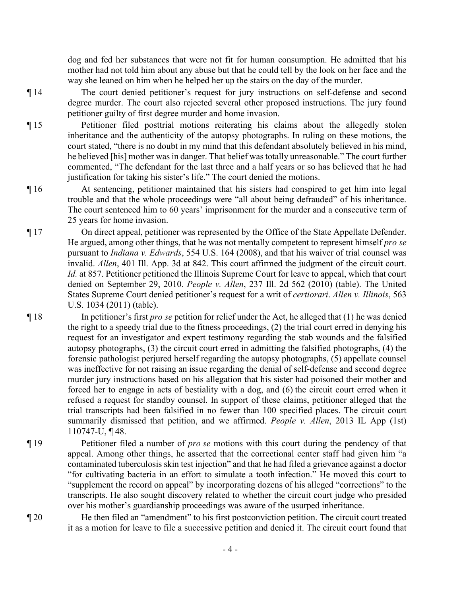dog and fed her substances that were not fit for human consumption. He admitted that his mother had not told him about any abuse but that he could tell by the look on her face and the way she leaned on him when he helped her up the stairs on the day of the murder.

¶ 14 The court denied petitioner's request for jury instructions on self-defense and second degree murder. The court also rejected several other proposed instructions. The jury found petitioner guilty of first degree murder and home invasion.

¶ 15 Petitioner filed posttrial motions reiterating his claims about the allegedly stolen inheritance and the authenticity of the autopsy photographs. In ruling on these motions, the court stated, "there is no doubt in my mind that this defendant absolutely believed in his mind, he believed [his] mother was in danger. That belief was totally unreasonable." The court further commented, "The defendant for the last three and a half years or so has believed that he had justification for taking his sister's life." The court denied the motions.

- ¶ 16 At sentencing, petitioner maintained that his sisters had conspired to get him into legal trouble and that the whole proceedings were "all about being defrauded" of his inheritance. The court sentenced him to 60 years' imprisonment for the murder and a consecutive term of 25 years for home invasion.
- ¶ 17 On direct appeal, petitioner was represented by the Office of the State Appellate Defender. He argued, among other things, that he was not mentally competent to represent himself *pro se* pursuant to *Indiana v. Edwards*, 554 U.S. 164 (2008), and that his waiver of trial counsel was invalid. *Allen*, 401 Ill. App. 3d at 842. This court affirmed the judgment of the circuit court. *Id.* at 857. Petitioner petitioned the Illinois Supreme Court for leave to appeal, which that court denied on September 29, 2010. *People v. Allen*, 237 Ill. 2d 562 (2010) (table). The United States Supreme Court denied petitioner's request for a writ of *certiorari*. *Allen v. Illinois*, 563 U.S. 1034 (2011) (table).
- ¶ 18 In petitioner's first *pro se* petition for relief under the Act, he alleged that (1) he was denied the right to a speedy trial due to the fitness proceedings, (2) the trial court erred in denying his request for an investigator and expert testimony regarding the stab wounds and the falsified autopsy photographs, (3) the circuit court erred in admitting the falsified photographs, (4) the forensic pathologist perjured herself regarding the autopsy photographs, (5) appellate counsel was ineffective for not raising an issue regarding the denial of self-defense and second degree murder jury instructions based on his allegation that his sister had poisoned their mother and forced her to engage in acts of bestiality with a dog, and (6) the circuit court erred when it refused a request for standby counsel. In support of these claims, petitioner alleged that the trial transcripts had been falsified in no fewer than 100 specified places. The circuit court summarily dismissed that petition, and we affirmed. *People v. Allen*, 2013 IL App (1st) 110747-U, ¶ 48.
- ¶ 19 Petitioner filed a number of *pro se* motions with this court during the pendency of that appeal. Among other things, he asserted that the correctional center staff had given him "a contaminated tuberculosis skin test injection" and that he had filed a grievance against a doctor "for cultivating bacteria in an effort to simulate a tooth infection." He moved this court to "supplement the record on appeal" by incorporating dozens of his alleged "corrections" to the transcripts. He also sought discovery related to whether the circuit court judge who presided over his mother's guardianship proceedings was aware of the usurped inheritance.
- ¶ 20 He then filed an "amendment" to his first postconviction petition. The circuit court treated it as a motion for leave to file a successive petition and denied it. The circuit court found that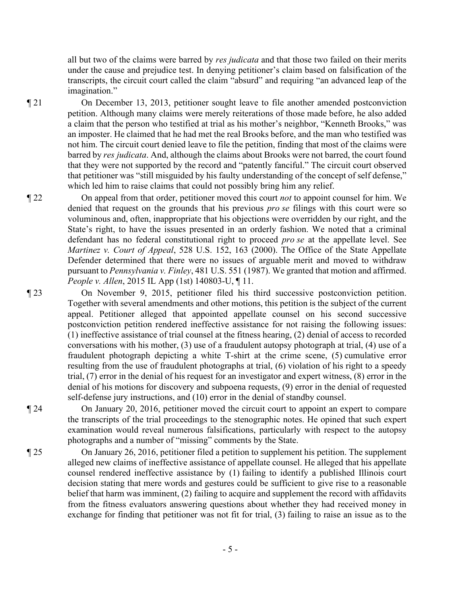all but two of the claims were barred by *res judicata* and that those two failed on their merits under the cause and prejudice test. In denying petitioner's claim based on falsification of the transcripts, the circuit court called the claim "absurd" and requiring "an advanced leap of the imagination."

¶ 21 On December 13, 2013, petitioner sought leave to file another amended postconviction petition. Although many claims were merely reiterations of those made before, he also added a claim that the person who testified at trial as his mother's neighbor, "Kenneth Brooks," was an imposter. He claimed that he had met the real Brooks before, and the man who testified was not him. The circuit court denied leave to file the petition, finding that most of the claims were barred by *res judicata*. And, although the claims about Brooks were not barred, the court found that they were not supported by the record and "patently fanciful." The circuit court observed that petitioner was "still misguided by his faulty understanding of the concept of self defense," which led him to raise claims that could not possibly bring him any relief.

¶ 22 On appeal from that order, petitioner moved this court *not* to appoint counsel for him. We denied that request on the grounds that his previous *pro se* filings with this court were so voluminous and, often, inappropriate that his objections were overridden by our right, and the State's right, to have the issues presented in an orderly fashion. We noted that a criminal defendant has no federal constitutional right to proceed *pro se* at the appellate level. See *Martinez v. Court of Appeal*, 528 U.S. 152, 163 (2000). The Office of the State Appellate Defender determined that there were no issues of arguable merit and moved to withdraw pursuant to *Pennsylvania v. Finley*, 481 U.S. 551 (1987). We granted that motion and affirmed. *People v. Allen*, 2015 IL App (1st) 140803-U, ¶ 11.

¶ 23 On November 9, 2015, petitioner filed his third successive postconviction petition. Together with several amendments and other motions, this petition is the subject of the current appeal. Petitioner alleged that appointed appellate counsel on his second successive postconviction petition rendered ineffective assistance for not raising the following issues: (1) ineffective assistance of trial counsel at the fitness hearing, (2) denial of access to recorded conversations with his mother, (3) use of a fraudulent autopsy photograph at trial, (4) use of a fraudulent photograph depicting a white T-shirt at the crime scene, (5) cumulative error resulting from the use of fraudulent photographs at trial, (6) violation of his right to a speedy trial, (7) error in the denial of his request for an investigator and expert witness, (8) error in the denial of his motions for discovery and subpoena requests, (9) error in the denial of requested self-defense jury instructions, and (10) error in the denial of standby counsel.

¶ 24 On January 20, 2016, petitioner moved the circuit court to appoint an expert to compare the transcripts of the trial proceedings to the stenographic notes. He opined that such expert examination would reveal numerous falsifications, particularly with respect to the autopsy photographs and a number of "missing" comments by the State.

¶ 25 On January 26, 2016, petitioner filed a petition to supplement his petition. The supplement alleged new claims of ineffective assistance of appellate counsel. He alleged that his appellate counsel rendered ineffective assistance by (1) failing to identify a published Illinois court decision stating that mere words and gestures could be sufficient to give rise to a reasonable belief that harm was imminent, (2) failing to acquire and supplement the record with affidavits from the fitness evaluators answering questions about whether they had received money in exchange for finding that petitioner was not fit for trial, (3) failing to raise an issue as to the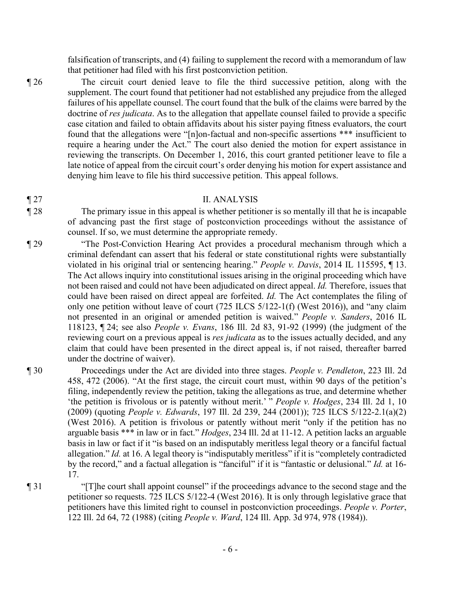falsification of transcripts, and (4) failing to supplement the record with a memorandum of law that petitioner had filed with his first postconviction petition.

¶ 26 The circuit court denied leave to file the third successive petition, along with the supplement. The court found that petitioner had not established any prejudice from the alleged failures of his appellate counsel. The court found that the bulk of the claims were barred by the doctrine of *res judicata*. As to the allegation that appellate counsel failed to provide a specific case citation and failed to obtain affidavits about his sister paying fitness evaluators, the court found that the allegations were "[n]on-factual and non-specific assertions \*\*\* insufficient to require a hearing under the Act." The court also denied the motion for expert assistance in reviewing the transcripts. On December 1, 2016, this court granted petitioner leave to file a late notice of appeal from the circuit court's order denying his motion for expert assistance and denying him leave to file his third successive petition. This appeal follows.

# ¶ 27 II. ANALYSIS

- ¶ 28 The primary issue in this appeal is whether petitioner is so mentally ill that he is incapable of advancing past the first stage of postconviction proceedings without the assistance of counsel. If so, we must determine the appropriate remedy.
- ¶ 29 "The Post-Conviction Hearing Act provides a procedural mechanism through which a criminal defendant can assert that his federal or state constitutional rights were substantially violated in his original trial or sentencing hearing." *People v. Davis*, 2014 IL 115595, ¶ 13. The Act allows inquiry into constitutional issues arising in the original proceeding which have not been raised and could not have been adjudicated on direct appeal. *Id.* Therefore, issues that could have been raised on direct appeal are forfeited. *Id.* The Act contemplates the filing of only one petition without leave of court (725 ILCS 5/122-1(f) (West 2016)), and "any claim not presented in an original or amended petition is waived." *People v. Sanders*, 2016 IL 118123, ¶ 24; see also *People v. Evans*, 186 Ill. 2d 83, 91-92 (1999) (the judgment of the reviewing court on a previous appeal is *res judicata* as to the issues actually decided, and any claim that could have been presented in the direct appeal is, if not raised, thereafter barred under the doctrine of waiver).
- 

¶ 30 Proceedings under the Act are divided into three stages. *People v. Pendleton*, 223 Ill. 2d 458, 472 (2006). "At the first stage, the circuit court must, within 90 days of the petition's filing, independently review the petition, taking the allegations as true, and determine whether 'the petition is frivolous or is patently without merit.' " *People v. Hodges*, 234 Ill. 2d 1, 10 (2009) (quoting *People v. Edwards*, 197 Ill. 2d 239, 244 (2001)); 725 ILCS 5/122-2.1(a)(2) (West 2016). A petition is frivolous or patently without merit "only if the petition has no arguable basis \*\*\* in law or in fact." *Hodges*, 234 Ill. 2d at 11-12. A petition lacks an arguable basis in law or fact if it "is based on an indisputably meritless legal theory or a fanciful factual allegation." *Id.* at 16. A legal theory is "indisputably meritless" if it is "completely contradicted by the record," and a factual allegation is "fanciful" if it is "fantastic or delusional." *Id.* at 16- 17.

¶ 31 "[T]he court shall appoint counsel" if the proceedings advance to the second stage and the petitioner so requests. 725 ILCS 5/122-4 (West 2016). It is only through legislative grace that petitioners have this limited right to counsel in postconviction proceedings. *People v. Porter*, 122 Ill. 2d 64, 72 (1988) (citing *People v. Ward*, 124 Ill. App. 3d 974, 978 (1984)).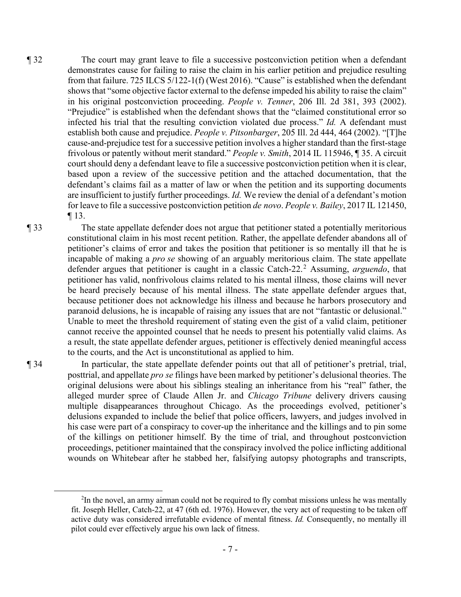¶ 32 The court may grant leave to file a successive postconviction petition when a defendant demonstrates cause for failing to raise the claim in his earlier petition and prejudice resulting from that failure. 725 ILCS 5/122-1(f) (West 2016). "Cause" is established when the defendant shows that "some objective factor external to the defense impeded his ability to raise the claim" in his original postconviction proceeding. *People v. Tenner*, 206 Ill. 2d 381, 393 (2002). "Prejudice" is established when the defendant shows that the "claimed constitutional error so infected his trial that the resulting conviction violated due process." *Id.* A defendant must establish both cause and prejudice. *People v. Pitsonbarger*, 205 Ill. 2d 444, 464 (2002). "[T]he cause-and-prejudice test for a successive petition involves a higher standard than the first-stage frivolous or patently without merit standard." *People v. Smith*, 2014 IL 115946, ¶ 35. A circuit court should deny a defendant leave to file a successive postconviction petition when it is clear, based upon a review of the successive petition and the attached documentation, that the defendant's claims fail as a matter of law or when the petition and its supporting documents are insufficient to justify further proceedings. *Id.* We review the denial of a defendant's motion for leave to file a successive postconviction petition *de novo*. *People v. Bailey*, 2017 IL 121450, ¶ 13.

¶ 33 The state appellate defender does not argue that petitioner stated a potentially meritorious constitutional claim in his most recent petition. Rather, the appellate defender abandons all of petitioner's claims of error and takes the position that petitioner is so mentally ill that he is incapable of making a *pro se* showing of an arguably meritorious claim. The state appellate defender argues that petitioner is caught in a classic Catch-22.<sup>2</sup> Assuming, *arguendo*, that petitioner has valid, nonfrivolous claims related to his mental illness, those claims will never be heard precisely because of his mental illness. The state appellate defender argues that, because petitioner does not acknowledge his illness and because he harbors prosecutory and paranoid delusions, he is incapable of raising any issues that are not "fantastic or delusional." Unable to meet the threshold requirement of stating even the gist of a valid claim, petitioner cannot receive the appointed counsel that he needs to present his potentially valid claims. As a result, the state appellate defender argues, petitioner is effectively denied meaningful access to the courts, and the Act is unconstitutional as applied to him.

¶ 34 In particular, the state appellate defender points out that all of petitioner's pretrial, trial, posttrial, and appellate *pro se* filings have been marked by petitioner's delusional theories. The original delusions were about his siblings stealing an inheritance from his "real" father, the alleged murder spree of Claude Allen Jr. and *Chicago Tribune* delivery drivers causing multiple disappearances throughout Chicago. As the proceedings evolved, petitioner's delusions expanded to include the belief that police officers, lawyers, and judges involved in his case were part of a conspiracy to cover-up the inheritance and the killings and to pin some of the killings on petitioner himself. By the time of trial, and throughout postconviction proceedings, petitioner maintained that the conspiracy involved the police inflicting additional wounds on Whitebear after he stabbed her, falsifying autopsy photographs and transcripts,

<sup>&</sup>lt;sup>2</sup>In the novel, an army airman could not be required to fly combat missions unless he was mentally fit. Joseph Heller, Catch-22, at 47 (6th ed. 1976). However, the very act of requesting to be taken off active duty was considered irrefutable evidence of mental fitness. *Id.* Consequently, no mentally ill pilot could ever effectively argue his own lack of fitness.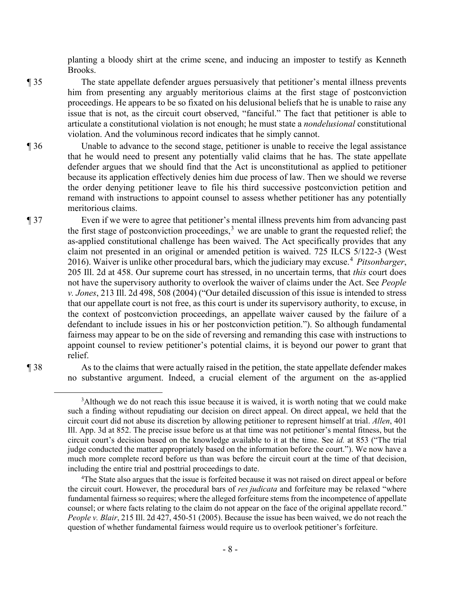planting a bloody shirt at the crime scene, and inducing an imposter to testify as Kenneth Brooks.

- ¶ 35 The state appellate defender argues persuasively that petitioner's mental illness prevents him from presenting any arguably meritorious claims at the first stage of postconviction proceedings. He appears to be so fixated on his delusional beliefs that he is unable to raise any issue that is not, as the circuit court observed, "fanciful." The fact that petitioner is able to articulate a constitutional violation is not enough; he must state a *nondelusional* constitutional violation. And the voluminous record indicates that he simply cannot.
- ¶ 36 Unable to advance to the second stage, petitioner is unable to receive the legal assistance that he would need to present any potentially valid claims that he has. The state appellate defender argues that we should find that the Act is unconstitutional as applied to petitioner because its application effectively denies him due process of law. Then we should we reverse the order denying petitioner leave to file his third successive postconviction petition and remand with instructions to appoint counsel to assess whether petitioner has any potentially meritorious claims.
- ¶ 37 Even if we were to agree that petitioner's mental illness prevents him from advancing past the first stage of postconviction proceedings,  $3$  we are unable to grant the requested relief; the as-applied constitutional challenge has been waived. The Act specifically provides that any claim not presented in an original or amended petition is waived. 725 ILCS 5/122-3 (West 2016). Waiver is unlike other procedural bars, which the judiciary may excuse.<sup>4</sup> *Pitsonbarger*, 205 Ill. 2d at 458. Our supreme court has stressed, in no uncertain terms, that *this* court does not have the supervisory authority to overlook the waiver of claims under the Act. See *People v. Jones*, 213 Ill. 2d 498, 508 (2004) ("Our detailed discussion of this issue is intended to stress that our appellate court is not free, as this court is under its supervisory authority, to excuse, in the context of postconviction proceedings, an appellate waiver caused by the failure of a defendant to include issues in his or her postconviction petition."). So although fundamental fairness may appear to be on the side of reversing and remanding this case with instructions to appoint counsel to review petitioner's potential claims, it is beyond our power to grant that relief.
- 

¶ 38 As to the claims that were actually raised in the petition, the state appellate defender makes no substantive argument. Indeed, a crucial element of the argument on the as-applied

 $3$ Although we do not reach this issue because it is waived, it is worth noting that we could make such a finding without repudiating our decision on direct appeal. On direct appeal, we held that the circuit court did not abuse its discretion by allowing petitioner to represent himself at trial. *Allen*, 401 Ill. App. 3d at 852. The precise issue before us at that time was not petitioner's mental fitness, but the circuit court's decision based on the knowledge available to it at the time. See *id.* at 853 ("The trial judge conducted the matter appropriately based on the information before the court."). We now have a much more complete record before us than was before the circuit court at the time of that decision, including the entire trial and posttrial proceedings to date.

<sup>&</sup>lt;sup>4</sup>The State also argues that the issue is forfeited because it was not raised on direct appeal or before the circuit court. However, the procedural bars of *res judicata* and forfeiture may be relaxed "where fundamental fairness so requires; where the alleged forfeiture stems from the incompetence of appellate counsel; or where facts relating to the claim do not appear on the face of the original appellate record." *People v. Blair*, 215 Ill. 2d 427, 450-51 (2005). Because the issue has been waived, we do not reach the question of whether fundamental fairness would require us to overlook petitioner's forfeiture.